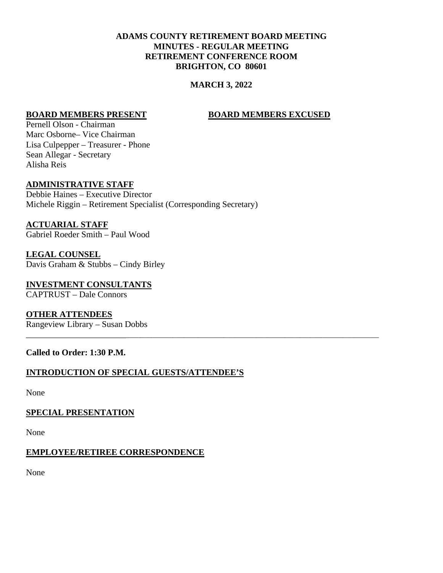# **ADAMS COUNTY RETIREMENT BOARD MEETING MINUTES - REGULAR MEETING RETIREMENT CONFERENCE ROOM BRIGHTON, CO 80601**

## **MARCH 3, 2022**

\_\_\_\_\_\_\_\_\_\_\_\_\_\_\_\_\_\_\_\_\_\_\_\_\_\_\_\_\_\_\_\_\_\_\_\_\_\_\_\_\_\_\_\_\_\_\_\_\_\_\_\_\_\_\_\_\_\_\_\_\_\_\_\_\_\_\_\_\_\_\_\_\_\_\_\_\_\_\_\_\_\_\_\_\_\_\_\_\_\_\_\_\_

#### **BOARD MEMBERS PRESENT BOARD MEMBERS EXCUSED**

Pernell Olson - Chairman Marc Osborne– Vice Chairman Lisa Culpepper – Treasurer - Phone Sean Allegar - Secretary Alisha Reis

## **ADMINISTRATIVE STAFF**

Debbie Haines – Executive Director Michele Riggin – Retirement Specialist (Corresponding Secretary)

**ACTUARIAL STAFF** Gabriel Roeder Smith – Paul Wood

**LEGAL COUNSEL** Davis Graham & Stubbs – Cindy Birley

**INVESTMENT CONSULTANTS** CAPTRUST – Dale Connors

**OTHER ATTENDEES** Rangeview Library – Susan Dobbs

#### **Called to Order: 1:30 P.M.**

# **INTRODUCTION OF SPECIAL GUESTS/ATTENDEE'S**

None

#### **SPECIAL PRESENTATION**

None

#### **EMPLOYEE/RETIREE CORRESPONDENCE**

None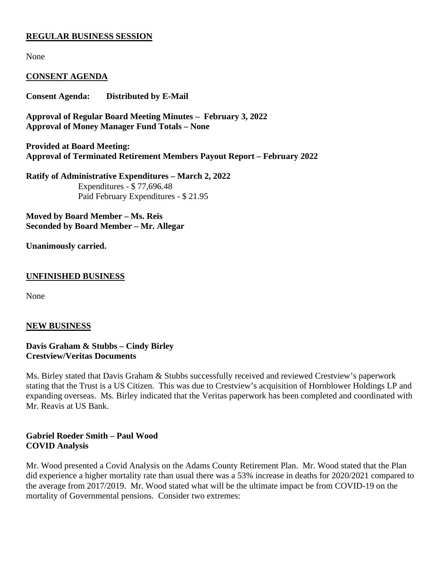## **REGULAR BUSINESS SESSION**

None

## **CONSENT AGENDA**

**Consent Agenda: Distributed by E-Mail**

**Approval of Regular Board Meeting Minutes – February 3, 2022 Approval of Money Manager Fund Totals – None**

**Provided at Board Meeting: Approval of Terminated Retirement Members Payout Report – February 2022**

**Ratify of Administrative Expenditures – March 2, 2022** Expenditures - \$ 77,696.48 Paid February Expenditures - \$ 21.95

**Moved by Board Member – Ms. Reis Seconded by Board Member – Mr. Allegar**

#### **Unanimously carried.**

#### **UNFINISHED BUSINESS**

None

#### **NEW BUSINESS**

#### **Davis Graham & Stubbs – Cindy Birley Crestview/Veritas Documents**

Ms. Birley stated that Davis Graham & Stubbs successfully received and reviewed Crestview's paperwork stating that the Trust is a US Citizen. This was due to Crestview's acquisition of Hornblower Holdings LP and expanding overseas. Ms. Birley indicated that the Veritas paperwork has been completed and coordinated with Mr. Reavis at US Bank.

#### **Gabriel Roeder Smith – Paul Wood COVID Analysis**

Mr. Wood presented a Covid Analysis on the Adams County Retirement Plan. Mr. Wood stated that the Plan did experience a higher mortality rate than usual there was a 53% increase in deaths for 2020/2021 compared to the average from 2017/2019. Mr. Wood stated what will be the ultimate impact be from COVID-19 on the mortality of Governmental pensions. Consider two extremes: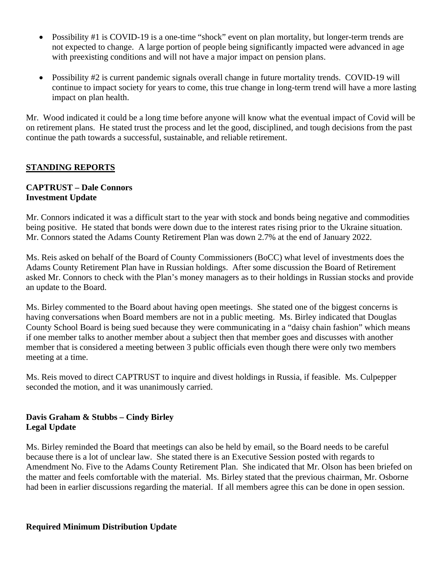- Possibility #1 is COVID-19 is a one-time "shock" event on plan mortality, but longer-term trends are not expected to change. A large portion of people being significantly impacted were advanced in age with preexisting conditions and will not have a major impact on pension plans.
- Possibility #2 is current pandemic signals overall change in future mortality trends. COVID-19 will continue to impact society for years to come, this true change in long-term trend will have a more lasting impact on plan health.

Mr. Wood indicated it could be a long time before anyone will know what the eventual impact of Covid will be on retirement plans. He stated trust the process and let the good, disciplined, and tough decisions from the past continue the path towards a successful, sustainable, and reliable retirement.

# **STANDING REPORTS**

# **CAPTRUST – Dale Connors Investment Update**

Mr. Connors indicated it was a difficult start to the year with stock and bonds being negative and commodities being positive. He stated that bonds were down due to the interest rates rising prior to the Ukraine situation. Mr. Connors stated the Adams County Retirement Plan was down 2.7% at the end of January 2022.

Ms. Reis asked on behalf of the Board of County Commissioners (BoCC) what level of investments does the Adams County Retirement Plan have in Russian holdings. After some discussion the Board of Retirement asked Mr. Connors to check with the Plan's money managers as to their holdings in Russian stocks and provide an update to the Board.

Ms. Birley commented to the Board about having open meetings. She stated one of the biggest concerns is having conversations when Board members are not in a public meeting. Ms. Birley indicated that Douglas County School Board is being sued because they were communicating in a "daisy chain fashion" which means if one member talks to another member about a subject then that member goes and discusses with another member that is considered a meeting between 3 public officials even though there were only two members meeting at a time.

Ms. Reis moved to direct CAPTRUST to inquire and divest holdings in Russia, if feasible. Ms. Culpepper seconded the motion, and it was unanimously carried.

## **Davis Graham & Stubbs – Cindy Birley Legal Update**

Ms. Birley reminded the Board that meetings can also be held by email, so the Board needs to be careful because there is a lot of unclear law. She stated there is an Executive Session posted with regards to Amendment No. Five to the Adams County Retirement Plan. She indicated that Mr. Olson has been briefed on the matter and feels comfortable with the material. Ms. Birley stated that the previous chairman, Mr. Osborne had been in earlier discussions regarding the material. If all members agree this can be done in open session.

#### **Required Minimum Distribution Update**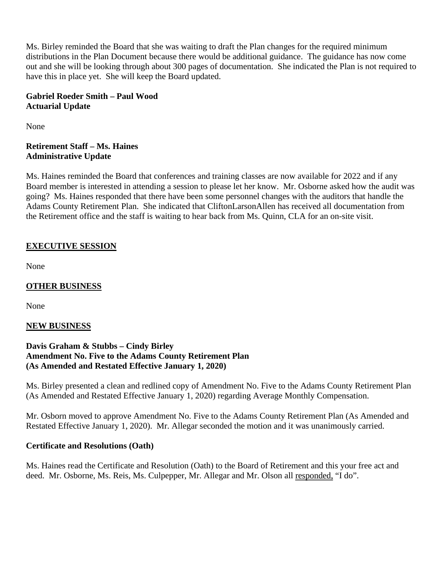Ms. Birley reminded the Board that she was waiting to draft the Plan changes for the required minimum distributions in the Plan Document because there would be additional guidance. The guidance has now come out and she will be looking through about 300 pages of documentation. She indicated the Plan is not required to have this in place yet. She will keep the Board updated.

# **Gabriel Roeder Smith – Paul Wood Actuarial Update**

None

## **Retirement Staff – Ms. Haines Administrative Update**

Ms. Haines reminded the Board that conferences and training classes are now available for 2022 and if any Board member is interested in attending a session to please let her know. Mr. Osborne asked how the audit was going? Ms. Haines responded that there have been some personnel changes with the auditors that handle the Adams County Retirement Plan. She indicated that CliftonLarsonAllen has received all documentation from the Retirement office and the staff is waiting to hear back from Ms. Quinn, CLA for an on-site visit.

# **EXECUTIVE SESSION**

None

# **OTHER BUSINESS**

None

# **NEW BUSINESS**

## **Davis Graham & Stubbs – Cindy Birley Amendment No. Five to the Adams County Retirement Plan (As Amended and Restated Effective January 1, 2020)**

Ms. Birley presented a clean and redlined copy of Amendment No. Five to the Adams County Retirement Plan (As Amended and Restated Effective January 1, 2020) regarding Average Monthly Compensation.

Mr. Osborn moved to approve Amendment No. Five to the Adams County Retirement Plan (As Amended and Restated Effective January 1, 2020). Mr. Allegar seconded the motion and it was unanimously carried.

# **Certificate and Resolutions (Oath)**

Ms. Haines read the Certificate and Resolution (Oath) to the Board of Retirement and this your free act and deed. Mr. Osborne, Ms. Reis, Ms. Culpepper, Mr. Allegar and Mr. Olson all responded, "I do".